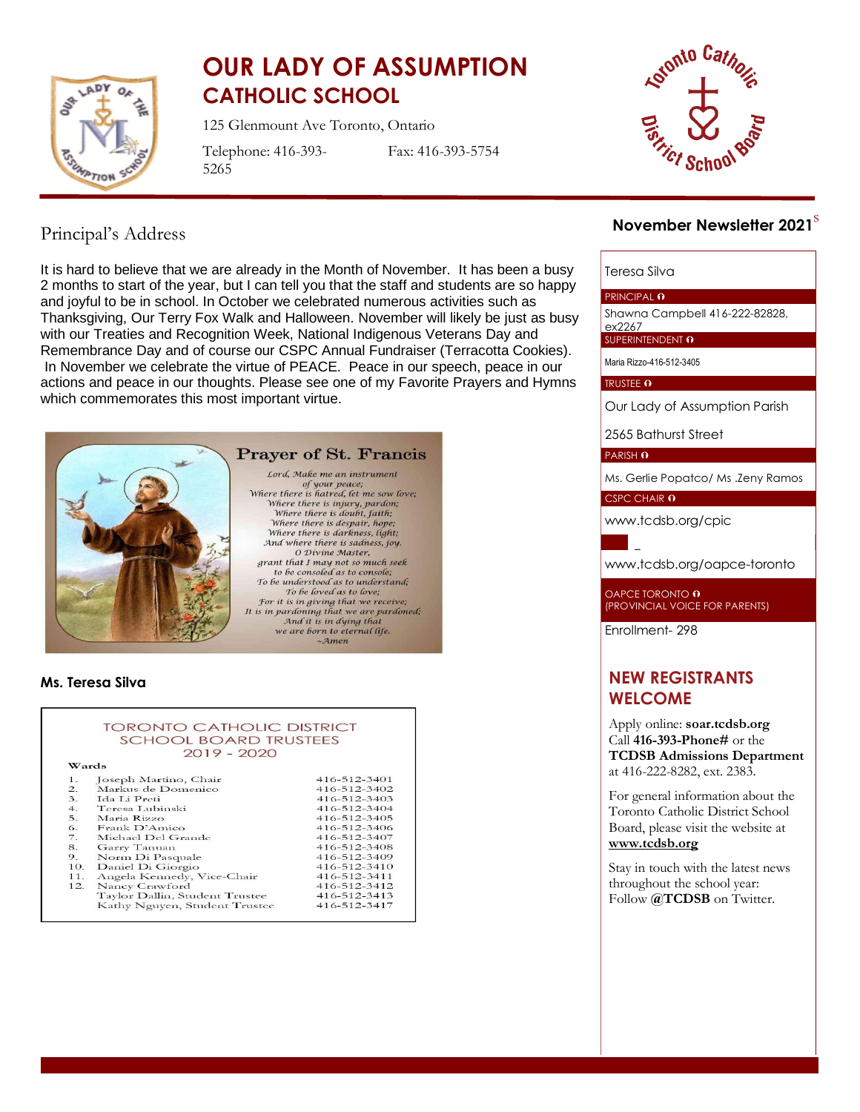

# **OUR LADY OF ASSUMPTION CATHOLIC SCHOOL**

125 Glenmount Ave Toronto, Ontario

Telephone: 416-393- 5265

Fax: 416-393-5754



# Principal's Address

It is hard to believe that we are already in the Month of November. It has been a busy 2 months to start of the year, but I can tell you that the staff and students are so happy and joyful to be in school. In October we celebrated numerous activities such as Thanksgiving, Our Terry Fox Walk and Halloween. November will likely be just as busy with our Treaties and Recognition Week, National Indigenous Veterans Day and Remembrance Day and of course our CSPC Annual Fundraiser (Terracotta Cookies). In November we celebrate the virtue of PEACE. Peace in our speech, peace in our actions and peace in our thoughts. Please see one of my Favorite Prayers and Hymns which commemorates this most important virtue.



# **Ms. Teresa Silva**

|                              | <b>TORONTO CATHOLIC DISTRICT</b> |                    |
|------------------------------|----------------------------------|--------------------|
| <b>SCHOOL BOARD TRUSTEES</b> |                                  |                    |
|                              | $2019 - 2020$                    |                    |
| Wards                        |                                  |                    |
| 1.                           | Joseph Martino, Chair            | 416-512-3401       |
| $\overline{2}$ .             | Markus de Domenico               | 416-512-3402       |
| 3.                           | Ida Li Preti                     | 416-512-3403       |
| 4.                           | Teresa Lubinski                  | 416-512-3404       |
| 5.                           | Maria Rizzo                      | $416 - 512 - 3405$ |
| 6.                           | Frank D'Amico                    | 416-512-3406       |
| $\overline{7}$ .             | Michael Del Grande               | 416-512-3407       |
| 8.                           | Garry Tanuan                     | 416-512-3408       |
| 9.                           | Norm Di Pasquale                 | 416-512-3409       |
| 10.                          | Daniel Di Giorgio                | 416-512-3410       |
| 11.                          | Angela Kennedy, Vice-Chair       | 416-512-3411       |
| 12.                          | Nancy Crawford                   | 416-512-3412       |
|                              | Taylor Dallin, Student Trustee   | 416-512-3413       |
|                              | Kathy Nguyen, Student Trustee    | 416-512-3417       |

# s **November Newsletter 2021**

#### Teresa Silva

#### PRINCIPAL O

Shawna Campbell 416-222-82828,

ex2267 SUPERINTENDENT O

Maria Rizzo-416-512-3405

#### TRUSTEE O

Our Lady of Assumption Parish

2565 Bathurst Street

PARISH O

Ms. Gerlie Popatco/ Ms .Zeny Ramos

CSPC CHAIR 0

[www.tcdsb.org/cpic](http://www.tcdsb.org/cpic)

[www.tcdsb.org/oapce](http://www.tcdsb.org/oapce-toronto)-toronto

OAPCE TORONTO **0** (PROVINCIAL VOICE FOR PARENTS)

Enrollment- 298

# **NEW REGISTRANTS WELCOME**

Apply online: **soar.tcdsb.org** Call **416-393-Phone#** or the **TCDSB Admissions Department** at 416-222-8282, ext. 2383.

For general information about the Toronto Catholic District School Board, please visit the website at **[www.tcdsb.org](http://www.tcdsb.org/)**

Stay in touch with the latest news throughout the school year: Follow  $\widehat{a}$ **TCDSB** on Twitter.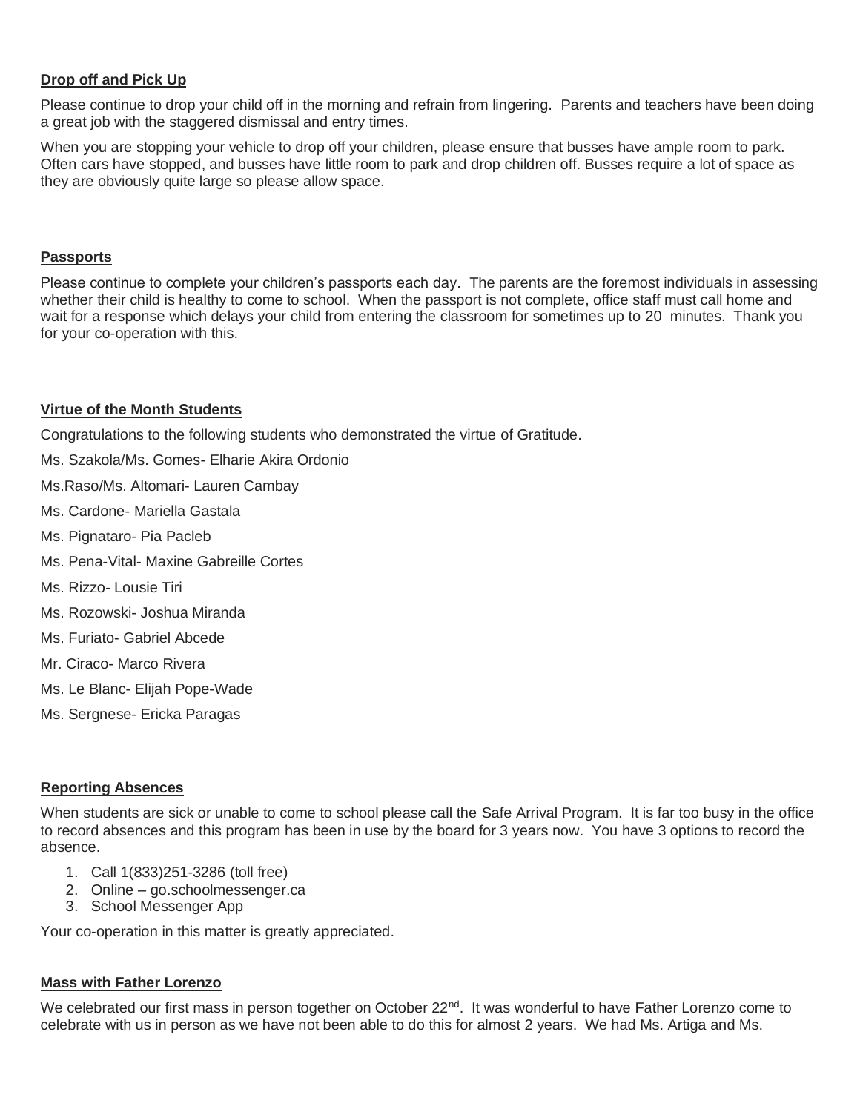# **Drop off and Pick Up**

Please continue to drop your child off in the morning and refrain from lingering. Parents and teachers have been doing a great job with the staggered dismissal and entry times.

When you are stopping your vehicle to drop off your children, please ensure that busses have ample room to park. Often cars have stopped, and busses have little room to park and drop children off. Busses require a lot of space as they are obviously quite large so please allow space.

## **Passports**

Please continue to complete your children's passports each day. The parents are the foremost individuals in assessing whether their child is healthy to come to school. When the passport is not complete, office staff must call home and wait for a response which delays your child from entering the classroom for sometimes up to 20 minutes. Thank you for your co-operation with this.

# **Virtue of the Month Students**

Congratulations to the following students who demonstrated the virtue of Gratitude.

Ms. Szakola/Ms. Gomes- Elharie Akira Ordonio

Ms.Raso/Ms. Altomari- Lauren Cambay

- Ms. Cardone- Mariella Gastala
- Ms. Pignataro- Pia Pacleb
- Ms. Pena-Vital- Maxine Gabreille Cortes
- Ms. Rizzo- Lousie Tiri
- Ms. Rozowski- Joshua Miranda
- Ms. Furiato- Gabriel Abcede
- Mr. Ciraco- Marco Rivera
- Ms. Le Blanc- Elijah Pope-Wade
- Ms. Sergnese- Ericka Paragas

# **Reporting Absences**

When students are sick or unable to come to school please call the Safe Arrival Program. It is far too busy in the office to record absences and this program has been in use by the board for 3 years now. You have 3 options to record the absence.

- 1. Call 1(833)251-3286 (toll free)
- 2. Online go.schoolmessenger.ca
- 3. School Messenger App

Your co-operation in this matter is greatly appreciated.

#### **Mass with Father Lorenzo**

We celebrated our first mass in person together on October 22<sup>nd</sup>. It was wonderful to have Father Lorenzo come to celebrate with us in person as we have not been able to do this for almost 2 years. We had Ms. Artiga and Ms.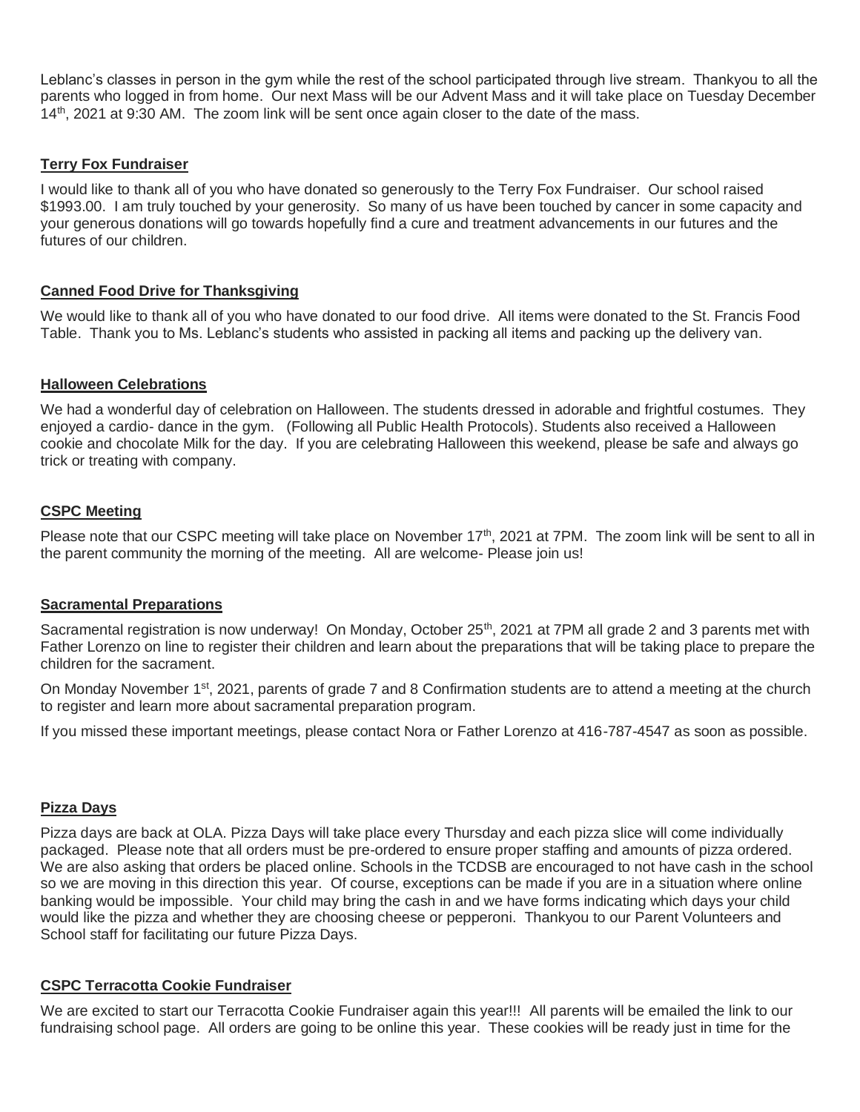Leblanc's classes in person in the gym while the rest of the school participated through live stream. Thankyou to all the parents who logged in from home. Our next Mass will be our Advent Mass and it will take place on Tuesday December 14th, 2021 at 9:30 AM. The zoom link will be sent once again closer to the date of the mass.

# **Terry Fox Fundraiser**

I would like to thank all of you who have donated so generously to the Terry Fox Fundraiser. Our school raised \$1993.00. I am truly touched by your generosity. So many of us have been touched by cancer in some capacity and your generous donations will go towards hopefully find a cure and treatment advancements in our futures and the futures of our children.

# **Canned Food Drive for Thanksgiving**

We would like to thank all of you who have donated to our food drive. All items were donated to the St. Francis Food Table. Thank you to Ms. Leblanc's students who assisted in packing all items and packing up the delivery van.

# **Halloween Celebrations**

We had a wonderful day of celebration on Halloween. The students dressed in adorable and frightful costumes. They enjoyed a cardio- dance in the gym. (Following all Public Health Protocols). Students also received a Halloween cookie and chocolate Milk for the day. If you are celebrating Halloween this weekend, please be safe and always go trick or treating with company.

# **CSPC Meeting**

Please note that our CSPC meeting will take place on November 17<sup>th</sup>, 2021 at 7PM. The zoom link will be sent to all in the parent community the morning of the meeting. All are welcome- Please join us!

# **Sacramental Preparations**

Sacramental registration is now underway! On Monday, October 25<sup>th</sup>, 2021 at 7PM all grade 2 and 3 parents met with Father Lorenzo on line to register their children and learn about the preparations that will be taking place to prepare the children for the sacrament.

On Monday November 1<sup>st</sup>, 2021, parents of grade 7 and 8 Confirmation students are to attend a meeting at the church to register and learn more about sacramental preparation program.

If you missed these important meetings, please contact Nora or Father Lorenzo at 416-787-4547 as soon as possible.

# **Pizza Days**

Pizza days are back at OLA. Pizza Days will take place every Thursday and each pizza slice will come individually packaged. Please note that all orders must be pre-ordered to ensure proper staffing and amounts of pizza ordered. We are also asking that orders be placed online. Schools in the TCDSB are encouraged to not have cash in the school so we are moving in this direction this year. Of course, exceptions can be made if you are in a situation where online banking would be impossible. Your child may bring the cash in and we have forms indicating which days your child would like the pizza and whether they are choosing cheese or pepperoni. Thankyou to our Parent Volunteers and School staff for facilitating our future Pizza Days.

# **CSPC Terracotta Cookie Fundraiser**

We are excited to start our Terracotta Cookie Fundraiser again this year!!! All parents will be emailed the link to our fundraising school page. All orders are going to be online this year. These cookies will be ready just in time for the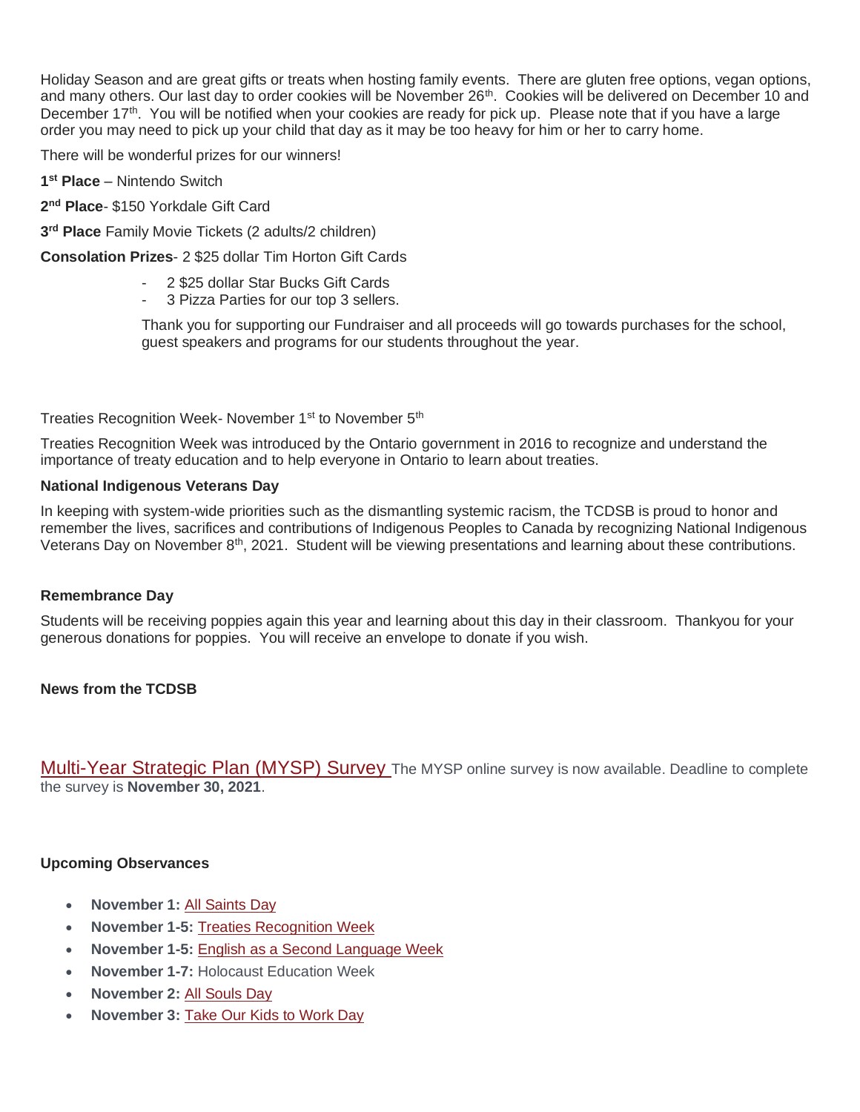Holiday Season and are great gifts or treats when hosting family events. There are gluten free options, vegan options, and many others. Our last day to order cookies will be November  $26<sup>th</sup>$ . Cookies will be delivered on December 10 and December 17<sup>th</sup>. You will be notified when your cookies are ready for pick up. Please note that if you have a large order you may need to pick up your child that day as it may be too heavy for him or her to carry home.

There will be wonderful prizes for our winners!

**1 st Place** – Nintendo Switch

**2 nd Place**- \$150 Yorkdale Gift Card

**3 rd Place** Family Movie Tickets (2 adults/2 children)

**Consolation Prizes**- 2 \$25 dollar Tim Horton Gift Cards

- 2 \$25 dollar Star Bucks Gift Cards
- 3 Pizza Parties for our top 3 sellers.

Thank you for supporting our Fundraiser and all proceeds will go towards purchases for the school, guest speakers and programs for our students throughout the year.

Treaties Recognition Week- November 1<sup>st</sup> to November 5<sup>th</sup>

Treaties Recognition Week was introduced by the Ontario government in 2016 to recognize and understand the importance of treaty education and to help everyone in Ontario to learn about treaties.

### **National Indigenous Veterans Day**

In keeping with system-wide priorities such as the dismantling systemic racism, the TCDSB is proud to honor and remember the lives, sacrifices and contributions of Indigenous Peoples to Canada by recognizing National Indigenous Veterans Day on November  $8<sup>th</sup>$ , 2021. Student will be viewing presentations and learning about these contributions.

#### **Remembrance Day**

Students will be receiving poppies again this year and learning about this day in their classroom. Thankyou for your generous donations for poppies. You will receive an envelope to donate if you wish.

# **News from the TCDSB**

[Multi-Year Strategic Plan \(MYSP\) Survey](https://t.e2ma.net/click/l59d5d/lxba9og/pk8hcx) The MYSP online survey is now available. Deadline to complete the survey is **November 30, 2021**.

#### **Upcoming Observances**

- **November 1:** [All Saints Day](https://t.e2ma.net/click/l59d5d/lxba9og/xexjcx)
- **November 1-5:** [Treaties Recognition Week](https://t.e2ma.net/click/l59d5d/lxba9og/d7xjcx)
- **November 1-5:** [English as a Second Language Week](https://t.e2ma.net/click/l59d5d/lxba9og/tzyjcx)
- **November 1-7:** Holocaust Education Week
- **November 2:** [All Souls Day](https://t.e2ma.net/click/l59d5d/lxba9og/9rzjcx)
- **November 3:** [Take Our Kids to Work Day](https://t.e2ma.net/click/l59d5d/lxba9og/pk0jcx)